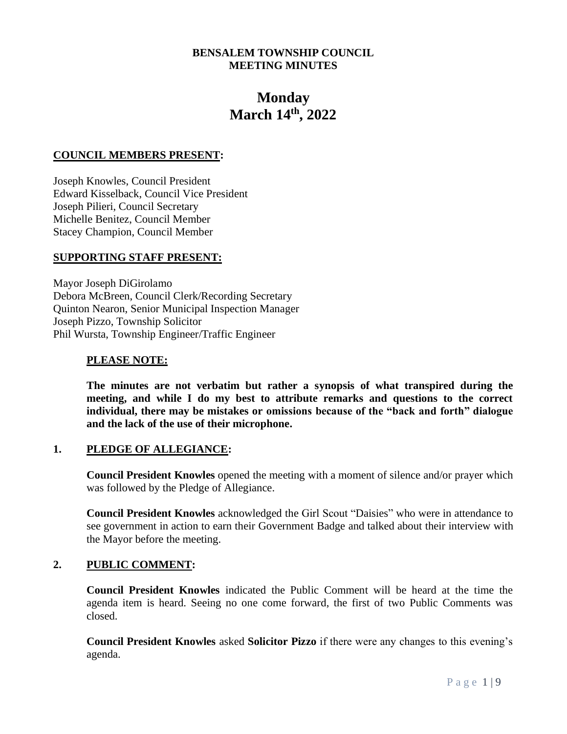## **BENSALEM TOWNSHIP COUNCIL MEETING MINUTES**

# **Monday March 14th, 2022**

#### **COUNCIL MEMBERS PRESENT:**

Joseph Knowles, Council President Edward Kisselback, Council Vice President Joseph Pilieri, Council Secretary Michelle Benitez, Council Member Stacey Champion, Council Member

#### **SUPPORTING STAFF PRESENT:**

Mayor Joseph DiGirolamo Debora McBreen, Council Clerk/Recording Secretary Quinton Nearon, Senior Municipal Inspection Manager Joseph Pizzo, Township Solicitor Phil Wursta, Township Engineer/Traffic Engineer

#### **PLEASE NOTE:**

**The minutes are not verbatim but rather a synopsis of what transpired during the meeting, and while I do my best to attribute remarks and questions to the correct individual, there may be mistakes or omissions because of the "back and forth" dialogue and the lack of the use of their microphone.**

# **1. PLEDGE OF ALLEGIANCE:**

**Council President Knowles** opened the meeting with a moment of silence and/or prayer which was followed by the Pledge of Allegiance.

**Council President Knowles** acknowledged the Girl Scout "Daisies" who were in attendance to see government in action to earn their Government Badge and talked about their interview with the Mayor before the meeting.

#### **2. PUBLIC COMMENT:**

**Council President Knowles** indicated the Public Comment will be heard at the time the agenda item is heard. Seeing no one come forward, the first of two Public Comments was closed.

**Council President Knowles** asked **Solicitor Pizzo** if there were any changes to this evening's agenda.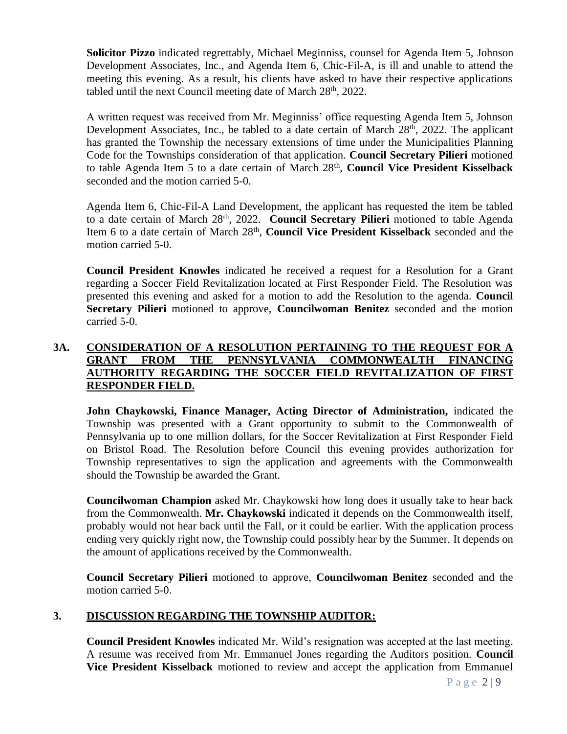**Solicitor Pizzo** indicated regrettably, Michael Meginniss, counsel for Agenda Item 5, Johnson Development Associates, Inc., and Agenda Item 6, Chic-Fil-A, is ill and unable to attend the meeting this evening. As a result, his clients have asked to have their respective applications tabled until the next Council meeting date of March 28<sup>th</sup>, 2022.

A written request was received from Mr. Meginniss' office requesting Agenda Item 5, Johnson Development Associates, Inc., be tabled to a date certain of March 28<sup>th</sup>, 2022. The applicant has granted the Township the necessary extensions of time under the Municipalities Planning Code for the Townships consideration of that application. **Council Secretary Pilieri** motioned to table Agenda Item 5 to a date certain of March 28th , **Council Vice President Kisselback** seconded and the motion carried 5-0.

Agenda Item 6, Chic-Fil-A Land Development, the applicant has requested the item be tabled to a date certain of March 28<sup>th</sup>, 2022. **Council Secretary Pilieri** motioned to table Agenda Item 6 to a date certain of March 28<sup>th</sup>, **Council Vice President Kisselback** seconded and the motion carried 5-0.

**Council President Knowles** indicated he received a request for a Resolution for a Grant regarding a Soccer Field Revitalization located at First Responder Field. The Resolution was presented this evening and asked for a motion to add the Resolution to the agenda. **Council Secretary Pilieri** motioned to approve, **Councilwoman Benitez** seconded and the motion carried 5-0.

# **3A. CONSIDERATION OF A RESOLUTION PERTAINING TO THE REQUEST FOR A GRANT FROM THE PENNSYLVANIA COMMONWEALTH FINANCING AUTHORITY REGARDING THE SOCCER FIELD REVITALIZATION OF FIRST RESPONDER FIELD.**

**John Chaykowski, Finance Manager, Acting Director of Administration,** indicated the Township was presented with a Grant opportunity to submit to the Commonwealth of Pennsylvania up to one million dollars, for the Soccer Revitalization at First Responder Field on Bristol Road. The Resolution before Council this evening provides authorization for Township representatives to sign the application and agreements with the Commonwealth should the Township be awarded the Grant.

**Councilwoman Champion** asked Mr. Chaykowski how long does it usually take to hear back from the Commonwealth. **Mr. Chaykowski** indicated it depends on the Commonwealth itself, probably would not hear back until the Fall, or it could be earlier. With the application process ending very quickly right now, the Township could possibly hear by the Summer. It depends on the amount of applications received by the Commonwealth.

**Council Secretary Pilieri** motioned to approve, **Councilwoman Benitez** seconded and the motion carried 5-0.

# **3. DISCUSSION REGARDING THE TOWNSHIP AUDITOR:**

**Council President Knowles** indicated Mr. Wild's resignation was accepted at the last meeting. A resume was received from Mr. Emmanuel Jones regarding the Auditors position. **Council Vice President Kisselback** motioned to review and accept the application from Emmanuel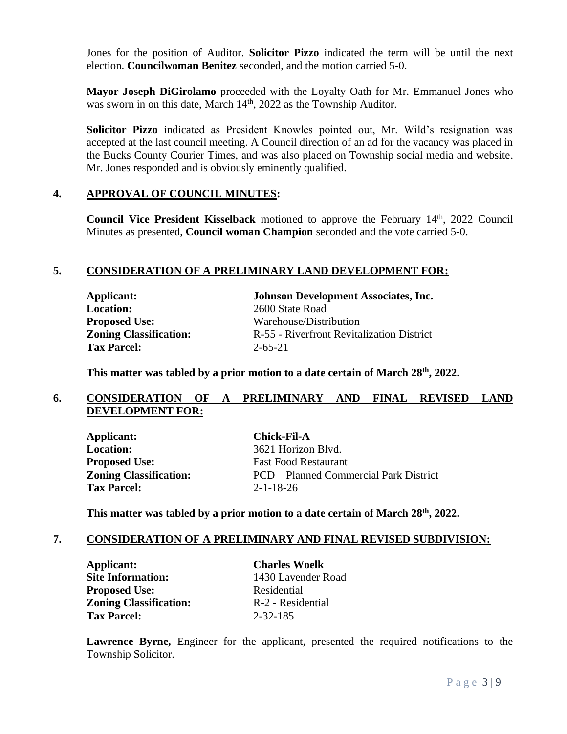Jones for the position of Auditor. **Solicitor Pizzo** indicated the term will be until the next election. **Councilwoman Benitez** seconded, and the motion carried 5-0.

**Mayor Joseph DiGirolamo** proceeded with the Loyalty Oath for Mr. Emmanuel Jones who was sworn in on this date, March 14<sup>th</sup>, 2022 as the Township Auditor.

**Solicitor Pizzo** indicated as President Knowles pointed out, Mr. Wild's resignation was accepted at the last council meeting. A Council direction of an ad for the vacancy was placed in the Bucks County Courier Times, and was also placed on Township social media and website. Mr. Jones responded and is obviously eminently qualified.

## **4. APPROVAL OF COUNCIL MINUTES:**

**Council Vice President Kisselback** motioned to approve the February 14<sup>th</sup>, 2022 Council Minutes as presented, **Council woman Champion** seconded and the vote carried 5-0.

## **5. CONSIDERATION OF A PRELIMINARY LAND DEVELOPMENT FOR:**

**Location:** 2600 State Road **Tax Parcel:** 2-65-21

**Applicant: Johnson Development Associates, Inc. Proposed Use:** Warehouse/Distribution **Zoning Classification:** R-55 - Riverfront Revitalization District

**This matter was tabled by a prior motion to a date certain of March 28th, 2022.**

## **6. CONSIDERATION OF A PRELIMINARY AND FINAL REVISED LAND DEVELOPMENT FOR:**

**Applicant: Chick-Fil-A Location:** 3621 Horizon Blvd. **Proposed Use:** Fast Food Restaurant **Tax Parcel:** 2-1-18-26

**Zoning Classification:** PCD – Planned Commercial Park District

**This matter was tabled by a prior motion to a date certain of March 28th , 2022.**

#### **7. CONSIDERATION OF A PRELIMINARY AND FINAL REVISED SUBDIVISION:**

**Applicant: Charles Woelk Site Information:** 1430 Lavender Road **Proposed Use:** Residential **Zoning Classification:** R-2 - Residential **Tax Parcel:** 2-32-185

**Lawrence Byrne,** Engineer for the applicant, presented the required notifications to the Township Solicitor.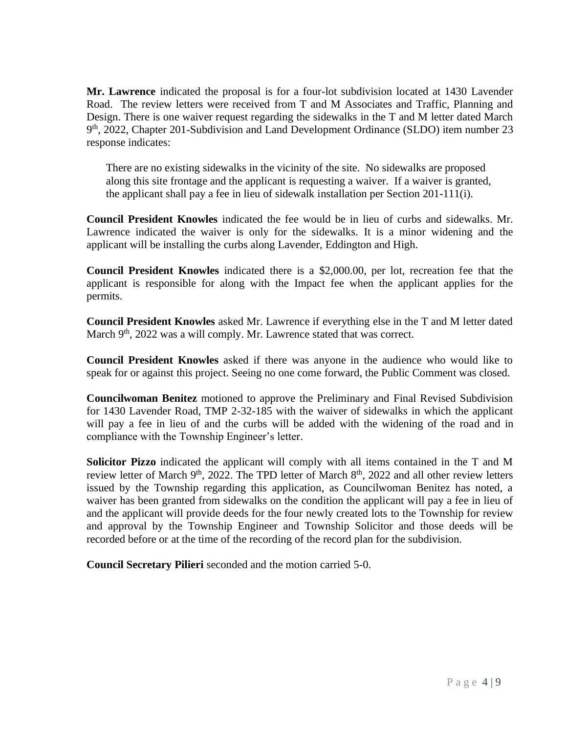**Mr. Lawrence** indicated the proposal is for a four-lot subdivision located at 1430 Lavender Road. The review letters were received from T and M Associates and Traffic, Planning and Design. There is one waiver request regarding the sidewalks in the T and M letter dated March 9 th, 2022, Chapter 201-Subdivision and Land Development Ordinance (SLDO) item number 23 response indicates:

 There are no existing sidewalks in the vicinity of the site. No sidewalks are proposed along this site frontage and the applicant is requesting a waiver. If a waiver is granted, the applicant shall pay a fee in lieu of sidewalk installation per Section 201-111(i).

**Council President Knowles** indicated the fee would be in lieu of curbs and sidewalks. Mr. Lawrence indicated the waiver is only for the sidewalks. It is a minor widening and the applicant will be installing the curbs along Lavender, Eddington and High.

**Council President Knowles** indicated there is a \$2,000.00, per lot, recreation fee that the applicant is responsible for along with the Impact fee when the applicant applies for the permits.

**Council President Knowles** asked Mr. Lawrence if everything else in the T and M letter dated March 9<sup>th</sup>, 2022 was a will comply. Mr. Lawrence stated that was correct.

**Council President Knowles** asked if there was anyone in the audience who would like to speak for or against this project. Seeing no one come forward, the Public Comment was closed.

**Councilwoman Benitez** motioned to approve the Preliminary and Final Revised Subdivision for 1430 Lavender Road, TMP 2-32-185 with the waiver of sidewalks in which the applicant will pay a fee in lieu of and the curbs will be added with the widening of the road and in compliance with the Township Engineer's letter.

**Solicitor Pizzo** indicated the applicant will comply with all items contained in the T and M review letter of March 9<sup>th</sup>, 2022. The TPD letter of March 8<sup>th</sup>, 2022 and all other review letters issued by the Township regarding this application, as Councilwoman Benitez has noted, a waiver has been granted from sidewalks on the condition the applicant will pay a fee in lieu of and the applicant will provide deeds for the four newly created lots to the Township for review and approval by the Township Engineer and Township Solicitor and those deeds will be recorded before or at the time of the recording of the record plan for the subdivision.

**Council Secretary Pilieri** seconded and the motion carried 5-0.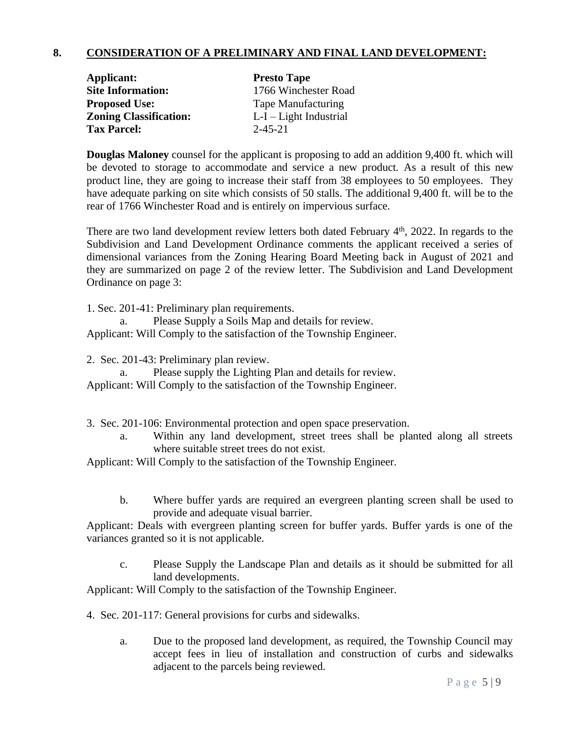# **8. CONSIDERATION OF A PRELIMINARY AND FINAL LAND DEVELOPMENT:**

| Applicant:                    | <b>Presto Tape</b>       |
|-------------------------------|--------------------------|
| <b>Site Information:</b>      | 1766 Winchester Road     |
| <b>Proposed Use:</b>          | Tape Manufacturing       |
| <b>Zoning Classification:</b> | $L-I - Light Industrial$ |
| <b>Tax Parcel:</b>            | $2 - 45 - 21$            |

**Douglas Maloney** counsel for the applicant is proposing to add an addition 9,400 ft. which will be devoted to storage to accommodate and service a new product. As a result of this new product line, they are going to increase their staff from 38 employees to 50 employees. They have adequate parking on site which consists of 50 stalls. The additional 9,400 ft. will be to the rear of 1766 Winchester Road and is entirely on impervious surface.

There are two land development review letters both dated February  $4<sup>th</sup>$ , 2022. In regards to the Subdivision and Land Development Ordinance comments the applicant received a series of dimensional variances from the Zoning Hearing Board Meeting back in August of 2021 and they are summarized on page 2 of the review letter. The Subdivision and Land Development Ordinance on page 3:

1. Sec. 201-41: Preliminary plan requirements.

a. Please Supply a Soils Map and details for review.

Applicant: Will Comply to the satisfaction of the Township Engineer.

2. Sec. 201-43: Preliminary plan review.

a. Please supply the Lighting Plan and details for review. Applicant: Will Comply to the satisfaction of the Township Engineer.

- 3. Sec. 201-106: Environmental protection and open space preservation.
	- a. Within any land development, street trees shall be planted along all streets where suitable street trees do not exist.

Applicant: Will Comply to the satisfaction of the Township Engineer.

b. Where buffer yards are required an evergreen planting screen shall be used to provide and adequate visual barrier.

Applicant: Deals with evergreen planting screen for buffer yards. Buffer yards is one of the variances granted so it is not applicable.

c. Please Supply the Landscape Plan and details as it should be submitted for all land developments.

Applicant: Will Comply to the satisfaction of the Township Engineer.

- 4. Sec. 201-117: General provisions for curbs and sidewalks.
	- a. Due to the proposed land development, as required, the Township Council may accept fees in lieu of installation and construction of curbs and sidewalks adjacent to the parcels being reviewed.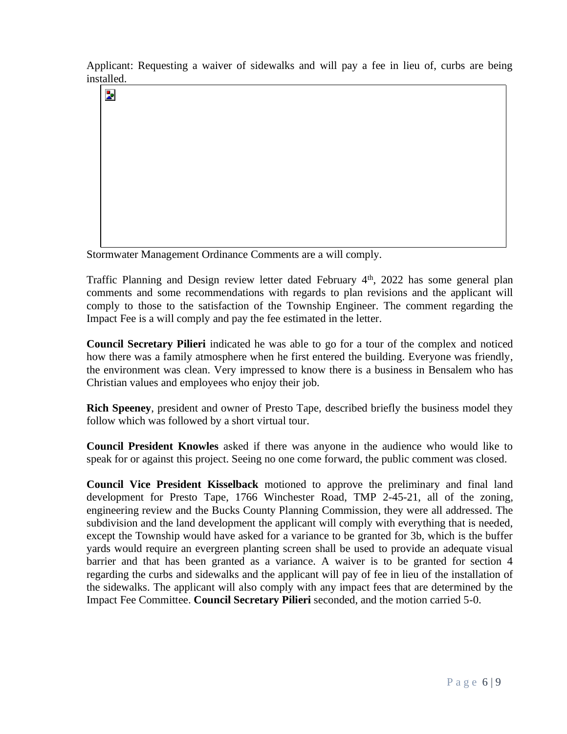Applicant: Requesting a waiver of sidewalks and will pay a fee in lieu of, curbs are being installed.

þ.

Stormwater Management Ordinance Comments are a will comply.

Traffic Planning and Design review letter dated February 4<sup>th</sup>, 2022 has some general plan comments and some recommendations with regards to plan revisions and the applicant will comply to those to the satisfaction of the Township Engineer. The comment regarding the Impact Fee is a will comply and pay the fee estimated in the letter.

**Council Secretary Pilieri** indicated he was able to go for a tour of the complex and noticed how there was a family atmosphere when he first entered the building. Everyone was friendly, the environment was clean. Very impressed to know there is a business in Bensalem who has Christian values and employees who enjoy their job.

**Rich Speeney**, president and owner of Presto Tape, described briefly the business model they follow which was followed by a short virtual tour.

**Council President Knowles** asked if there was anyone in the audience who would like to speak for or against this project. Seeing no one come forward, the public comment was closed.

**Council Vice President Kisselback** motioned to approve the preliminary and final land development for Presto Tape, 1766 Winchester Road, TMP 2-45-21, all of the zoning, engineering review and the Bucks County Planning Commission, they were all addressed. The subdivision and the land development the applicant will comply with everything that is needed, except the Township would have asked for a variance to be granted for 3b, which is the buffer yards would require an evergreen planting screen shall be used to provide an adequate visual barrier and that has been granted as a variance. A waiver is to be granted for section 4 regarding the curbs and sidewalks and the applicant will pay of fee in lieu of the installation of the sidewalks. The applicant will also comply with any impact fees that are determined by the Impact Fee Committee. **Council Secretary Pilieri** seconded, and the motion carried 5-0.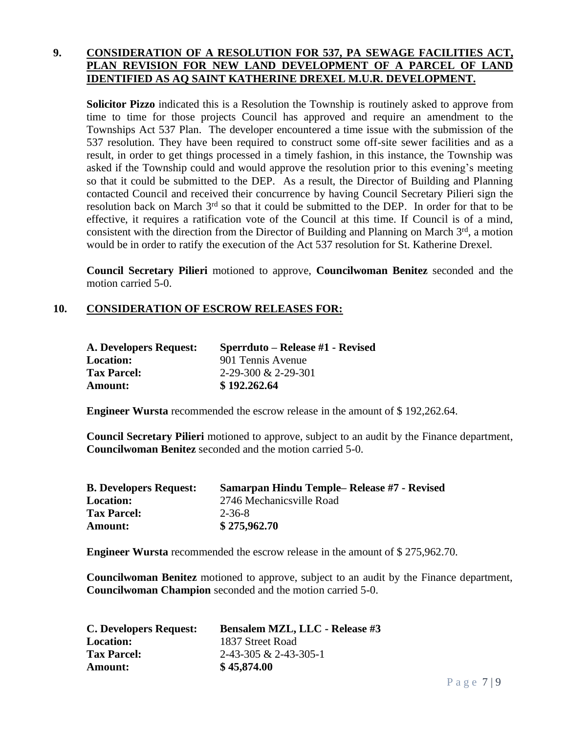# **9. CONSIDERATION OF A RESOLUTION FOR 537, PA SEWAGE FACILITIES ACT, PLAN REVISION FOR NEW LAND DEVELOPMENT OF A PARCEL OF LAND IDENTIFIED AS AQ SAINT KATHERINE DREXEL M.U.R. DEVELOPMENT.**

**Solicitor Pizzo** indicated this is a Resolution the Township is routinely asked to approve from time to time for those projects Council has approved and require an amendment to the Townships Act 537 Plan. The developer encountered a time issue with the submission of the 537 resolution. They have been required to construct some off-site sewer facilities and as a result, in order to get things processed in a timely fashion, in this instance, the Township was asked if the Township could and would approve the resolution prior to this evening's meeting so that it could be submitted to the DEP. As a result, the Director of Building and Planning contacted Council and received their concurrence by having Council Secretary Pilieri sign the resolution back on March 3<sup>rd</sup> so that it could be submitted to the DEP. In order for that to be effective, it requires a ratification vote of the Council at this time. If Council is of a mind, consistent with the direction from the Director of Building and Planning on March  $3<sup>rd</sup>$ , a motion would be in order to ratify the execution of the Act 537 resolution for St. Katherine Drexel.

**Council Secretary Pilieri** motioned to approve, **Councilwoman Benitez** seconded and the motion carried 5-0.

# **10. CONSIDERATION OF ESCROW RELEASES FOR:**

| A. Developers Request: | Sperrduto – Release #1 - Revised |
|------------------------|----------------------------------|
| <b>Location:</b>       | 901 Tennis Avenue                |
| <b>Tax Parcel:</b>     | $2-29-300 \& 2-29-301$           |
| Amount:                | \$192,262,64                     |

**Engineer Wursta** recommended the escrow release in the amount of \$ 192,262.64.

**Council Secretary Pilieri** motioned to approve, subject to an audit by the Finance department, **Councilwoman Benitez** seconded and the motion carried 5-0.

| <b>B. Developers Request:</b> | Samarpan Hindu Temple– Release #7 - Revised |
|-------------------------------|---------------------------------------------|
| <b>Location:</b>              | 2746 Mechanicsville Road                    |
| <b>Tax Parcel:</b>            | 2-36-8                                      |
| <b>Amount:</b>                | \$275,962.70                                |

**Engineer Wursta** recommended the escrow release in the amount of \$ 275,962.70.

**Councilwoman Benitez** motioned to approve, subject to an audit by the Finance department, **Councilwoman Champion** seconded and the motion carried 5-0.

| <b>C. Developers Request:</b> | <b>Bensalem MZL, LLC - Release #3</b> |
|-------------------------------|---------------------------------------|
| <b>Location:</b>              | 1837 Street Road                      |
| <b>Tax Parcel:</b>            | $2-43-305 \& 2-43-305-1$              |
| <b>Amount:</b>                | \$45,874.00                           |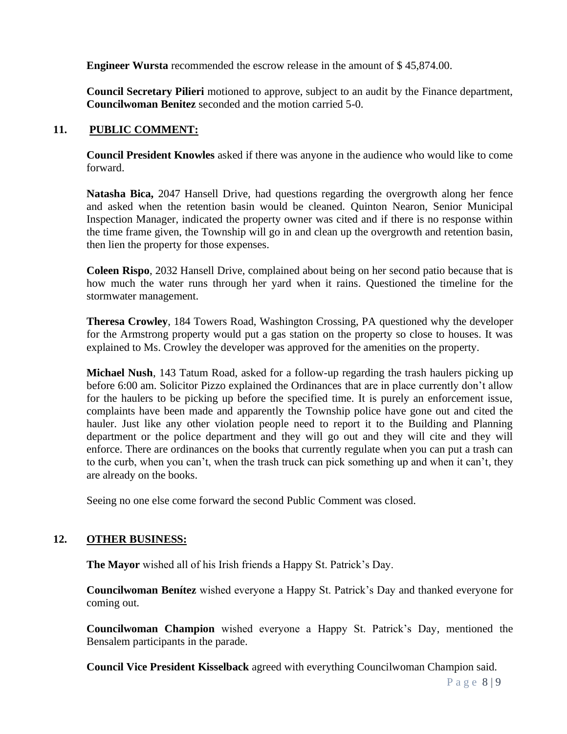**Engineer Wursta** recommended the escrow release in the amount of \$ 45,874.00.

**Council Secretary Pilieri** motioned to approve, subject to an audit by the Finance department, **Councilwoman Benitez** seconded and the motion carried 5-0.

# **11. PUBLIC COMMENT:**

**Council President Knowles** asked if there was anyone in the audience who would like to come forward.

**Natasha Bica,** 2047 Hansell Drive, had questions regarding the overgrowth along her fence and asked when the retention basin would be cleaned. Quinton Nearon, Senior Municipal Inspection Manager, indicated the property owner was cited and if there is no response within the time frame given, the Township will go in and clean up the overgrowth and retention basin, then lien the property for those expenses.

**Coleen Rispo**, 2032 Hansell Drive, complained about being on her second patio because that is how much the water runs through her yard when it rains. Questioned the timeline for the stormwater management.

**Theresa Crowley**, 184 Towers Road, Washington Crossing, PA questioned why the developer for the Armstrong property would put a gas station on the property so close to houses. It was explained to Ms. Crowley the developer was approved for the amenities on the property.

**Michael Nush**, 143 Tatum Road, asked for a follow-up regarding the trash haulers picking up before 6:00 am. Solicitor Pizzo explained the Ordinances that are in place currently don't allow for the haulers to be picking up before the specified time. It is purely an enforcement issue, complaints have been made and apparently the Township police have gone out and cited the hauler. Just like any other violation people need to report it to the Building and Planning department or the police department and they will go out and they will cite and they will enforce. There are ordinances on the books that currently regulate when you can put a trash can to the curb, when you can't, when the trash truck can pick something up and when it can't, they are already on the books.

Seeing no one else come forward the second Public Comment was closed.

# **12. OTHER BUSINESS:**

**The Mayor** wished all of his Irish friends a Happy St. Patrick's Day.

**Councilwoman Benítez** wished everyone a Happy St. Patrick's Day and thanked everyone for coming out.

**Councilwoman Champion** wished everyone a Happy St. Patrick's Day, mentioned the Bensalem participants in the parade.

**Council Vice President Kisselback** agreed with everything Councilwoman Champion said.